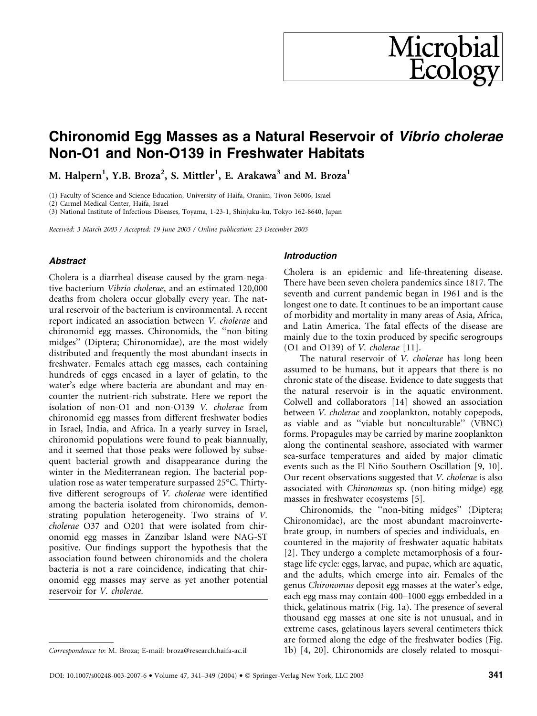# Chironomid Egg Masses as a Natural Reservoir of Vibrio cholerae Non-O1 and Non-O139 in Freshwater Habitats

M. Halpern<sup>1</sup>, Y.B. Broza<sup>2</sup>, S. Mittler<sup>1</sup>, E. Arakawa<sup>3</sup> and M. Broza<sup>1</sup>

(1) Faculty of Science and Science Education, University of Haifa, Oranim, Tivon 36006, Israel

(2) Carmel Medical Center, Haifa, Israel

(3) National Institute of Infectious Diseases, Toyama, 1-23-1, Shinjuku-ku, Tokyo 162-8640, Japan

Received: 3 March 2003 / Accepted: 19 June 2003 / Online publication: 23 December 2003

### Abstract

Cholera is a diarrheal disease caused by the gram-negative bacterium Vibrio cholerae, and an estimated 120,000 deaths from cholera occur globally every year. The natural reservoir of the bacterium is environmental. A recent report indicated an association between V. cholerae and chironomid egg masses. Chironomids, the ''non-biting midges'' (Diptera; Chironomidae), are the most widely distributed and frequently the most abundant insects in freshwater. Females attach egg masses, each containing hundreds of eggs encased in a layer of gelatin, to the water's edge where bacteria are abundant and may encounter the nutrient-rich substrate. Here we report the isolation of non-O1 and non-O139 V. cholerae from chironomid egg masses from different freshwater bodies in Israel, India, and Africa. In a yearly survey in Israel, chironomid populations were found to peak biannually, and it seemed that those peaks were followed by subsequent bacterial growth and disappearance during the winter in the Mediterranean region. The bacterial population rose as water temperature surpassed  $25^{\circ}$ C. Thirtyfive different serogroups of V. cholerae were identified among the bacteria isolated from chironomids, demonstrating population heterogeneity. Two strains of V. cholerae O37 and O201 that were isolated from chironomid egg masses in Zanzibar Island were NAG-ST positive. Our findings support the hypothesis that the association found between chironomids and the cholera bacteria is not a rare coincidence, indicating that chironomid egg masses may serve as yet another potential reservoir for V. cholerae.

#### Introduction

Cholera is an epidemic and life-threatening disease. There have been seven cholera pandemics since 1817. The seventh and current pandemic began in 1961 and is the longest one to date. It continues to be an important cause of morbidity and mortality in many areas of Asia, Africa, and Latin America. The fatal effects of the disease are mainly due to the toxin produced by specific serogroups (O1 and O139) of V. cholerae [11].

**Microbia**<br>Ecolog

The natural reservoir of V. cholerae has long been assumed to be humans, but it appears that there is no chronic state of the disease. Evidence to date suggests that the natural reservoir is in the aquatic environment. Colwell and collaborators [14] showed an association between V. cholerae and zooplankton, notably copepods, as viable and as ''viable but nonculturable'' (VBNC) forms. Propagules may be carried by marine zooplankton along the continental seashore, associated with warmer sea-surface temperatures and aided by major climatic events such as the El Niño Southern Oscillation [9, 10]. Our recent observations suggested that V. cholerae is also associated with Chironomus sp. (non-biting midge) egg masses in freshwater ecosystems [5].

Chironomids, the ''non-biting midges'' (Diptera; Chironomidae), are the most abundant macroinvertebrate group, in numbers of species and individuals, encountered in the majority of freshwater aquatic habitats [2]. They undergo a complete metamorphosis of a fourstage life cycle: eggs, larvae, and pupae, which are aquatic, and the adults, which emerge into air. Females of the genus Chironomus deposit egg masses at the water's edge, each egg mass may contain 400–1000 eggs embedded in a thick, gelatinous matrix (Fig. 1a). The presence of several thousand egg masses at one site is not unusual, and in extreme cases, gelatinous layers several centimeters thick are formed along the edge of the freshwater bodies (Fig. Correspondence to: M. Broza; E-mail: broza@research.haifa-ac.il 1b) [4, 20]. Chironomids are closely related to mosqui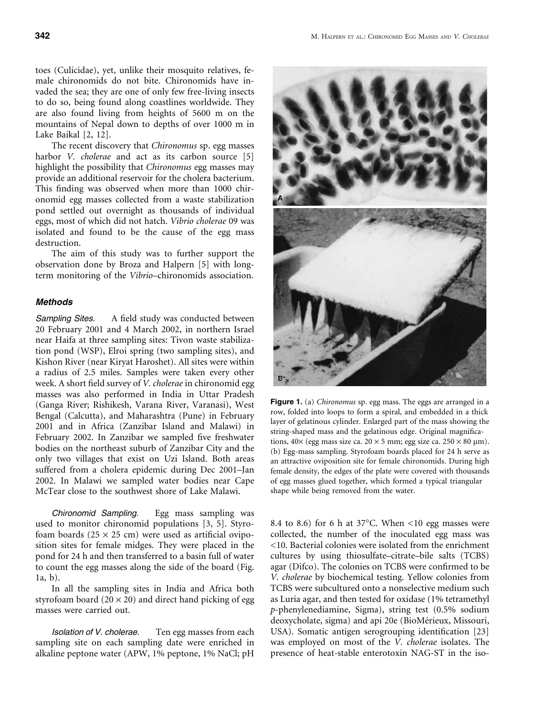toes (Culicidae), yet, unlike their mosquito relatives, female chironomids do not bite. Chironomids have invaded the sea; they are one of only few free-living insects to do so, being found along coastlines worldwide. They are also found living from heights of 5600 m on the mountains of Nepal down to depths of over 1000 m in Lake Baikal [2, 12].

The recent discovery that Chironomus sp. egg masses harbor *V. cholerae* and act as its carbon source [5] highlight the possibility that Chironomus egg masses may provide an additional reservoir for the cholera bacterium. This finding was observed when more than 1000 chironomid egg masses collected from a waste stabilization pond settled out overnight as thousands of individual eggs, most of which did not hatch. Vibrio cholerae 09 was isolated and found to be the cause of the egg mass destruction.

The aim of this study was to further support the observation done by Broza and Halpern [5] with longterm monitoring of the Vibrio–chironomids association.

### **Methods**

Sampling Sites. A field study was conducted between 20 February 2001 and 4 March 2002, in northern Israel near Haifa at three sampling sites: Tivon waste stabilization pond (WSP), Elroi spring (two sampling sites), and Kishon River (near Kiryat Haroshet). All sites were within a radius of 2.5 miles. Samples were taken every other week. A short field survey of V. cholerae in chironomid egg masses was also performed in India in Uttar Pradesh (Ganga River; Rishikesh, Varana River, Varanasi), West Bengal (Calcutta), and Maharashtra (Pune) in February 2001 and in Africa (Zanzibar Island and Malawi) in February 2002. In Zanzibar we sampled five freshwater bodies on the northeast suburb of Zanzibar City and the only two villages that exist on Uzi Island. Both areas suffered from a cholera epidemic during Dec 2001–Jan 2002. In Malawi we sampled water bodies near Cape McTear close to the southwest shore of Lake Malawi.

Chironomid Sampling. Egg mass sampling was used to monitor chironomid populations [3, 5]. Styrofoam boards ( $25 \times 25$  cm) were used as artificial oviposition sites for female midges. They were placed in the pond for 24 h and then transferred to a basin full of water to count the egg masses along the side of the board (Fig. 1a, b).

In all the sampling sites in India and Africa both styrofoam board  $(20 \times 20)$  and direct hand picking of egg masses were carried out.

Isolation of V. cholerae. Ten egg masses from each sampling site on each sampling date were enriched in alkaline peptone water (APW, 1% peptone, 1% NaCl; pH

Figure 1. (a) *Chironomus* sp. egg mass. The eggs are arranged in a row, folded into loops to form a spiral, and embedded in a thick layer of gelatinous cylinder. Enlarged part of the mass showing the string-shaped mass and the gelatinous edge. Original magnifications,  $40 \times$  (egg mass size ca.  $20 \times 5$  mm; egg size ca.  $250 \times 80$  µm). (b) Egg-mass sampling. Styrofoam boards placed for 24 h serve as an attractive oviposition site for female chironomids. During high female density, the edges of the plate were covered with thousands of egg masses glued together, which formed a typical triangular shape while being removed from the water.

8.4 to 8.6) for 6 h at  $37^{\circ}$ C. When <10 egg masses were collected, the number of the inoculated egg mass was <10. Bacterial colonies were isolated from the enrichment cultures by using thiosulfate–citrate–bile salts (TCBS) agar (Difco). The colonies on TCBS were confirmed to be V. cholerae by biochemical testing. Yellow colonies from TCBS were subcultured onto a nonselective medium such as Luria agar, and then tested for oxidase (1% tetramethyl p-phenylenediamine, Sigma), string test (0.5% sodium deoxycholate, sigma) and api 20e (BioMérieux, Missouri, USA). Somatic antigen serogrouping identification [23] was employed on most of the V. cholerae isolates. The presence of heat-stable enterotoxin NAG-ST in the iso-

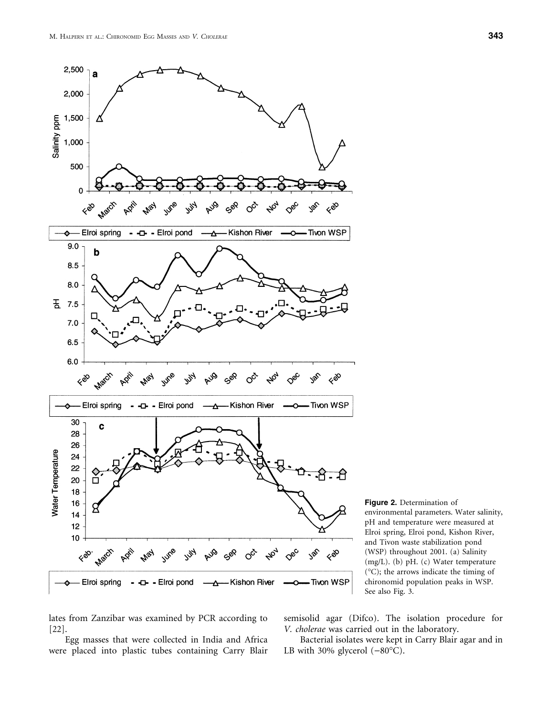

Figure 2. Determination of environmental parameters. Water salinity, pH and temperature were measured at Elroi spring, Elroi pond, Kishon River, and Tivon waste stabilization pond (WSP) throughout 2001. (a) Salinity (mg/L). (b) pH. (c) Water temperature (C); the arrows indicate the timing of chironomid population peaks in WSP. See also Fig. 3.

lates from Zanzibar was examined by PCR according to [22].

Egg masses that were collected in India and Africa were placed into plastic tubes containing Carry Blair semisolid agar (Difco). The isolation procedure for V. cholerae was carried out in the laboratory.

Bacterial isolates were kept in Carry Blair agar and in LB with 30% glycerol  $(-80^{\circ}C)$ .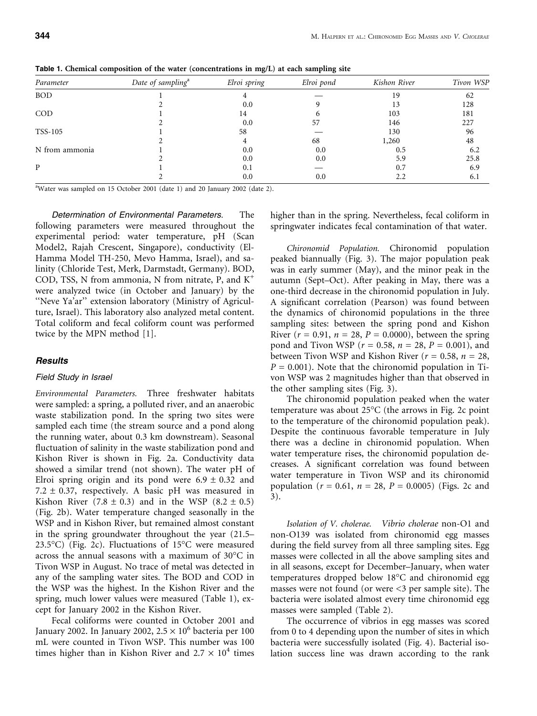| Parameter      | Date of sampling <sup>a</sup> | Elroi spring | Elroi pond | Kishon River | Tivon WSP |
|----------------|-------------------------------|--------------|------------|--------------|-----------|
| BOD            |                               |              |            | 19           | 62        |
|                |                               | 0.0          |            | 13           | 128       |
| COD            |                               | 14           | h          | 103          | 181       |
|                |                               | 0.0          | 57         | 146          | 227       |
| TSS-105        |                               | 58           |            | 130          | 96        |
|                |                               |              | 68         | 1,260        | 48        |
| N from ammonia |                               | 0.0          | 0.0        | 0.5          | 6.2       |
|                |                               | 0.0          | 0.0        | 5.9          | 25.8      |
| P              |                               | 0.1          |            | 0.7          | 6.9       |
|                |                               | 0.0          | 0.0        | 2.2          | 6.1       |
|                |                               |              |            |              |           |

Table 1. Chemical composition of the water (concentrations in mg/L) at each sampling site

a Water was sampled on 15 October 2001 (date 1) and 20 January 2002 (date 2).

Determination of Environmental Parameters. The following parameters were measured throughout the experimental period: water temperature, pH (Scan Model2, Rajah Crescent, Singapore), conductivity (El-Hamma Model TH-250, Mevo Hamma, Israel), and salinity (Chloride Test, Merk, Darmstadt, Germany). BOD, COD, TSS, N from ammonia, N from nitrate, P, and  $K^+$ were analyzed twice (in October and January) by the ''Neve Ya'ar'' extension laboratory (Ministry of Agriculture, Israel). This laboratory also analyzed metal content. Total coliform and fecal coliform count was performed twice by the MPN method [1].

#### Results

#### Field Study in Israel

Environmental Parameters. Three freshwater habitats were sampled: a spring, a polluted river, and an anaerobic waste stabilization pond. In the spring two sites were sampled each time (the stream source and a pond along the running water, about 0.3 km downstream). Seasonal fluctuation of salinity in the waste stabilization pond and Kishon River is shown in Fig. 2a. Conductivity data showed a similar trend (not shown). The water pH of Elroi spring origin and its pond were  $6.9 \pm 0.32$  and 7.2  $\pm$  0.37, respectively. A basic pH was measured in Kishon River  $(7.8 \pm 0.3)$  and in the WSP  $(8.2 \pm 0.5)$ (Fig. 2b). Water temperature changed seasonally in the WSP and in Kishon River, but remained almost constant in the spring groundwater throughout the year (21.5– 23.5°C) (Fig. 2c). Fluctuations of  $15^{\circ}$ C were measured across the annual seasons with a maximum of  $30^{\circ}$ C in Tivon WSP in August. No trace of metal was detected in any of the sampling water sites. The BOD and COD in the WSP was the highest. In the Kishon River and the spring, much lower values were measured (Table 1), except for January 2002 in the Kishon River.

Fecal coliforms were counted in October 2001 and January 2002. In January 2002,  $2.5 \times 10^6$  bacteria per 100 mL were counted in Tivon WSP. This number was 100 times higher than in Kishon River and  $2.7 \times 10^4$  times

higher than in the spring. Nevertheless, fecal coliform in springwater indicates fecal contamination of that water.

Chironomid Population. Chironomid population peaked biannually (Fig. 3). The major population peak was in early summer (May), and the minor peak in the autumn (Sept–Oct). After peaking in May, there was a one-third decrease in the chironomid population in July. A significant correlation (Pearson) was found between the dynamics of chironomid populations in the three sampling sites: between the spring pond and Kishon River ( $r = 0.91$ ,  $n = 28$ ,  $P = 0.0000$ ), between the spring pond and Tivon WSP ( $r = 0.58$ ,  $n = 28$ ,  $P = 0.001$ ), and between Tivon WSP and Kishon River ( $r = 0.58$ ,  $n = 28$ ,  $P = 0.001$ ). Note that the chironomid population in Tivon WSP was 2 magnitudes higher than that observed in the other sampling sites (Fig. 3).

The chironomid population peaked when the water temperature was about  $25^{\circ}$ C (the arrows in Fig. 2c point to the temperature of the chironomid population peak). Despite the continuous favorable temperature in July there was a decline in chironomid population. When water temperature rises, the chironomid population decreases. A significant correlation was found between water temperature in Tivon WSP and its chironomid population ( $r = 0.61$ ,  $n = 28$ ,  $P = 0.0005$ ) (Figs. 2c and 3).

Isolation of V. cholerae. Vibrio cholerae non-O1 and non-O139 was isolated from chironomid egg masses during the field survey from all three sampling sites. Egg masses were collected in all the above sampling sites and in all seasons, except for December–January, when water temperatures dropped below  $18^{\circ}$ C and chironomid egg masses were not found (or were <3 per sample site). The bacteria were isolated almost every time chironomid egg masses were sampled (Table 2).

The occurrence of vibrios in egg masses was scored from 0 to 4 depending upon the number of sites in which bacteria were successfully isolated (Fig. 4). Bacterial isolation success line was drawn according to the rank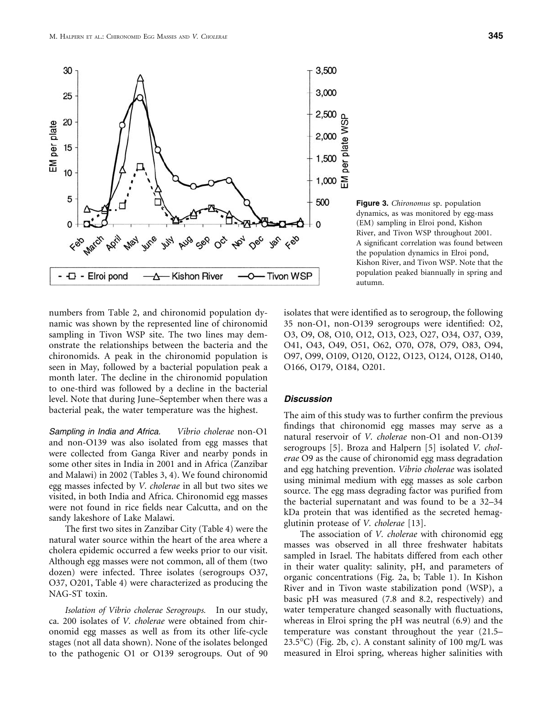

Figure 3. Chironomus sp. population dynamics, as was monitored by egg-mass (EM) sampling in Elroi pond, Kishon River, and Tivon WSP throughout 2001. A significant correlation was found between the population dynamics in Elroi pond, Kishon River, and Tivon WSP. Note that the population peaked biannually in spring and autumn.

numbers from Table 2, and chironomid population dynamic was shown by the represented line of chironomid sampling in Tivon WSP site. The two lines may demonstrate the relationships between the bacteria and the chironomids. A peak in the chironomid population is seen in May, followed by a bacterial population peak a month later. The decline in the chironomid population to one-third was followed by a decline in the bacterial level. Note that during June–September when there was a bacterial peak, the water temperature was the highest.

Sampling in India and Africa. Vibrio cholerae non-O1 and non-O139 was also isolated from egg masses that were collected from Ganga River and nearby ponds in some other sites in India in 2001 and in Africa (Zanzibar and Malawi) in 2002 (Tables 3, 4). We found chironomid egg masses infected by V. cholerae in all but two sites we visited, in both India and Africa. Chironomid egg masses were not found in rice fields near Calcutta, and on the sandy lakeshore of Lake Malawi.

The first two sites in Zanzibar City (Table 4) were the natural water source within the heart of the area where a cholera epidemic occurred a few weeks prior to our visit. Although egg masses were not common, all of them (two dozen) were infected. Three isolates (serogroups O37, O37, O201, Table 4) were characterized as producing the NAG-ST toxin.

Isolation of Vibrio cholerae Serogroups. In our study, ca. 200 isolates of V. cholerae were obtained from chironomid egg masses as well as from its other life-cycle stages (not all data shown). None of the isolates belonged to the pathogenic O1 or O139 serogroups. Out of 90

isolates that were identified as to serogroup, the following 35 non-O1, non-O139 serogroups were identified: O2, O3, O9, O8, O10, O12, O13, O23, O27, O34, O37, O39, O41, O43, O49, O51, O62, O70, O78, O79, O83, O94, O97, O99, O109, O120, O122, O123, O124, O128, O140, O166, O179, O184, O201.

#### Discussion

The aim of this study was to further confirm the previous findings that chironomid egg masses may serve as a natural reservoir of V. cholerae non-O1 and non-O139 serogroups [5]. Broza and Halpern [5] isolated V. cholerae O9 as the cause of chironomid egg mass degradation and egg hatching prevention. Vibrio cholerae was isolated using minimal medium with egg masses as sole carbon source. The egg mass degrading factor was purified from the bacterial supernatant and was found to be a 32–34 kDa protein that was identified as the secreted hemagglutinin protease of V. cholerae [13].

The association of *V. cholerae* with chironomid egg masses was observed in all three freshwater habitats sampled in Israel. The habitats differed from each other in their water quality: salinity, pH, and parameters of organic concentrations (Fig. 2a, b; Table 1). In Kishon River and in Tivon waste stabilization pond (WSP), a basic pH was measured (7.8 and 8.2, respectively) and water temperature changed seasonally with fluctuations, whereas in Elroi spring the pH was neutral (6.9) and the temperature was constant throughout the year (21.5–  $23.5^{\circ}$ C) (Fig. 2b, c). A constant salinity of 100 mg/L was measured in Elroi spring, whereas higher salinities with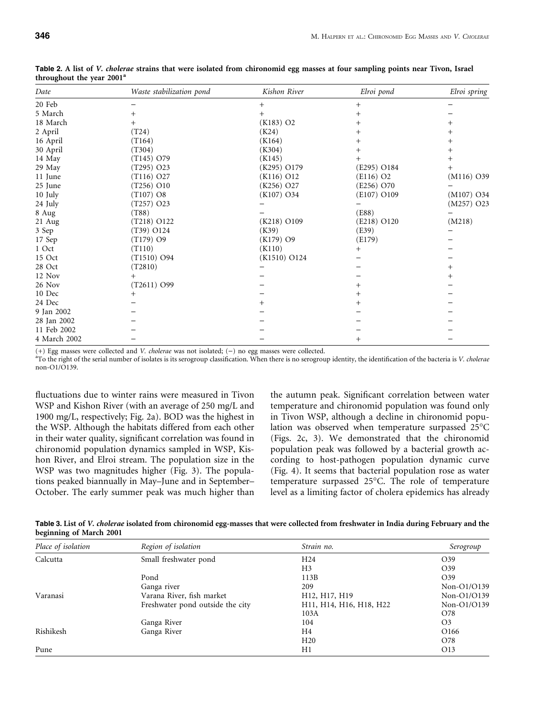| Date         | Waste stabilization pond | Kishon River            | Elroi pond              | Elroi spring       |
|--------------|--------------------------|-------------------------|-------------------------|--------------------|
| 20 Feb       |                          | $^+$                    | $^{+}$                  |                    |
| 5 March      |                          |                         | $^{+}$                  |                    |
| 18 March     | $^{+}$                   | $(K183)$ O <sub>2</sub> | $^+$                    |                    |
| 2 April      | (T24)                    | (K24)                   | $^+$                    |                    |
| 16 April     | (T164)                   | (K164)                  | $^+$                    | $\hspace{0.1mm} +$ |
| 30 April     | (T304)                   | (K304)                  | $^+$                    |                    |
| 14 May       | $(T145)$ O79             | (K145)                  | $^+$                    | $^+$               |
| 29 May       | (T295) O23               | (K295) O179             | (E295) O184             | $^{+}$             |
| 11 June      | (T116) O27               | $(K116)$ O12            | $(E116)$ O <sub>2</sub> | $(M116)$ O39       |
| 25 June      | (T256) O10               | (K256) O27              | (E256) O70              |                    |
| 10 July      | $(T107)$ O8              | $(K107)$ O34            | (E107) O109             | $(M107)$ O34       |
| 24 July      | (T257) O23               |                         |                         | (M257) O23         |
| 8 Aug        | (T88)                    |                         | (E88)                   |                    |
| 21 Aug       | (T218) O122              | (K218) O109             | (E218) O120             | (M218)             |
| 3 Sep        | (T39) O124               | (K39)                   | (E39)                   |                    |
| 17 Sep       | $(T179)$ O9              | $(K179)$ O9             | (E179)                  |                    |
| 1 Oct        | (T110)                   | (K110)                  | $^{+}$                  |                    |
| 15 Oct       | (T1510) O94              | (K1510) O124            |                         |                    |
| 28 Oct       | (T2810)                  |                         |                         | $^+$               |
| 12 Nov       |                          |                         |                         | $\hspace{0.1mm} +$ |
| 26 Nov       | (T2611) O99              |                         | $^{+}$                  |                    |
| 10 Dec       |                          |                         | $^+$                    |                    |
| 24 Dec       |                          | $^{+}$                  | $^{+}$                  |                    |
| 9 Jan 2002   |                          |                         |                         |                    |
| 28 Jan 2002  |                          |                         |                         |                    |
| 11 Feb 2002  |                          |                         |                         |                    |
| 4 March 2002 |                          |                         | $^{+}$                  |                    |
|              |                          |                         |                         |                    |

Table 2. A list of V. cholerae strains that were isolated from chironomid egg masses at four sampling points near Tivon, Israel throughout the year 2001<sup>a</sup>

 $(+)$  Egg masses were collected and V. cholerae was not isolated;  $(-)$  no egg masses were collected.

<sup>a</sup>To the right of the serial number of isolates is its serogroup classification. When there is no serogroup identity, the identification of the bacteria is V. cholerae non-O1/O139.

fluctuations due to winter rains were measured in Tivon WSP and Kishon River (with an average of 250 mg/L and 1900 mg/L, respectively; Fig. 2a). BOD was the highest in the WSP. Although the habitats differed from each other in their water quality, significant correlation was found in chironomid population dynamics sampled in WSP, Kishon River, and Elroi stream. The population size in the WSP was two magnitudes higher (Fig. 3). The populations peaked biannually in May–June and in September– October. The early summer peak was much higher than the autumn peak. Significant correlation between water temperature and chironomid population was found only in Tivon WSP, although a decline in chironomid population was observed when temperature surpassed 25°C (Figs. 2c, 3). We demonstrated that the chironomid population peak was followed by a bacterial growth according to host-pathogen population dynamic curve (Fig. 4). It seems that bacterial population rose as water temperature surpassed 25°C. The role of temperature level as a limiting factor of cholera epidemics has already

Table 3. List of V. cholerae isolated from chironomid egg-masses that were collected from freshwater in India during February and the beginning of March 2001

| Place of isolation | Region of isolation              | Strain no.                                                                              | Serogroup        |
|--------------------|----------------------------------|-----------------------------------------------------------------------------------------|------------------|
| Calcutta           | Small freshwater pond            | H <sub>24</sub>                                                                         | O39              |
|                    |                                  | H3                                                                                      | O39              |
|                    | Pond                             | 113B                                                                                    | O <sub>39</sub>  |
|                    | Ganga river                      | 209                                                                                     | Non-O1/O139      |
| Varanasi           | Varana River, fish market        | H12, H17, H19                                                                           | Non-O1/O139      |
|                    | Freshwater pond outside the city | H <sub>11</sub> , H <sub>14</sub> , H <sub>16</sub> , H <sub>18</sub> , H <sub>22</sub> | Non-O1/O139      |
|                    |                                  | 103A                                                                                    | O78              |
|                    | Ganga River                      | 104                                                                                     | O <sub>3</sub>   |
| Rishikesh          | Ganga River                      | H4                                                                                      | O <sub>166</sub> |
|                    |                                  | H20                                                                                     | O78              |
| Pune               |                                  | H1                                                                                      | O13              |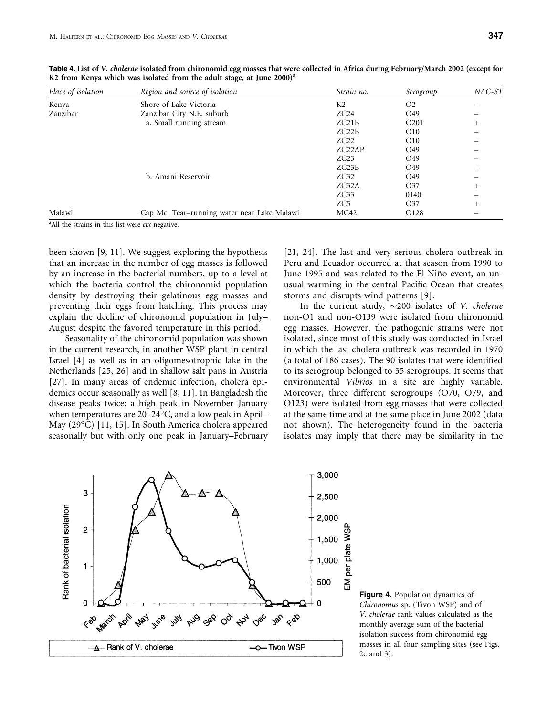| Place of isolation | Region and source of isolation              | Strain no.          | Serogroup         | $NAG-ST$ |
|--------------------|---------------------------------------------|---------------------|-------------------|----------|
| Kenya              | Shore of Lake Victoria                      | K <sub>2</sub>      | O <sub>2</sub>    |          |
| Zanzibar           | Zanzibar City N.E. suburb                   | ZC24                | O <sub>49</sub>   |          |
|                    | a. Small running stream                     | ZC21B               | O <sub>2</sub> 01 | $^{+}$   |
|                    |                                             | ZC22B               | O10               |          |
|                    |                                             | ZC22                | O10               |          |
|                    |                                             | ZC <sub>22</sub> AP | O <sub>49</sub>   |          |
|                    |                                             | ZC23                | O <sub>49</sub>   |          |
|                    |                                             | ZC23B               | O <sub>49</sub>   |          |
|                    | b. Amani Reservoir                          | ZC32                | O <sub>49</sub>   |          |
|                    |                                             | ZC32A               | O37               | $^{+}$   |
|                    |                                             | ZC33                | 0140              |          |
|                    |                                             | ZC <sub>5</sub>     | O37               | $^{+}$   |
| Malawi             | Cap Mc. Tear-running water near Lake Malawi | MC42                | O128              |          |

Table 4. List of V. cholerae isolated from chironomid egg masses that were collected in Africa during February/March 2002 (except for K2 from Kenya which was isolated from the adult stage, at June  $2000^{\circ}$ 

<sup>a</sup>All the strains in this list were ctx negative.

been shown [9, 11]. We suggest exploring the hypothesis that an increase in the number of egg masses is followed by an increase in the bacterial numbers, up to a level at which the bacteria control the chironomid population density by destroying their gelatinous egg masses and preventing their eggs from hatching. This process may explain the decline of chironomid population in July– August despite the favored temperature in this period.

Seasonality of the chironomid population was shown in the current research, in another WSP plant in central Israel [4] as well as in an oligomesotrophic lake in the Netherlands [25, 26] and in shallow salt pans in Austria [27]. In many areas of endemic infection, cholera epidemics occur seasonally as well [8, 11]. In Bangladesh the disease peaks twice: a high peak in November–January when temperatures are 20–24°C, and a low peak in April– May (29°C) [11, 15]. In South America cholera appeared seasonally but with only one peak in January–February

[21, 24]. The last and very serious cholera outbreak in Peru and Ecuador occurred at that season from 1990 to June 1995 and was related to the El Niño event, an unusual warming in the central Pacific Ocean that creates storms and disrupts wind patterns [9].

In the current study,  $\sim$ 200 isolates of *V. cholerae* non-O1 and non-O139 were isolated from chironomid egg masses. However, the pathogenic strains were not isolated, since most of this study was conducted in Israel in which the last cholera outbreak was recorded in 1970 (a total of 186 cases). The 90 isolates that were identified to its serogroup belonged to 35 serogroups. It seems that environmental Vibrios in a site are highly variable. Moreover, three different serogroups (O70, O79, and O123) were isolated from egg masses that were collected at the same time and at the same place in June 2002 (data not shown). The heterogeneity found in the bacteria isolates may imply that there may be similarity in the



Figure 4. Population dynamics of Chironomus sp. (Tivon WSP) and of V. cholerae rank values calculated as the monthly average sum of the bacterial isolation success from chironomid egg masses in all four sampling sites (see Figs. 2c and 3).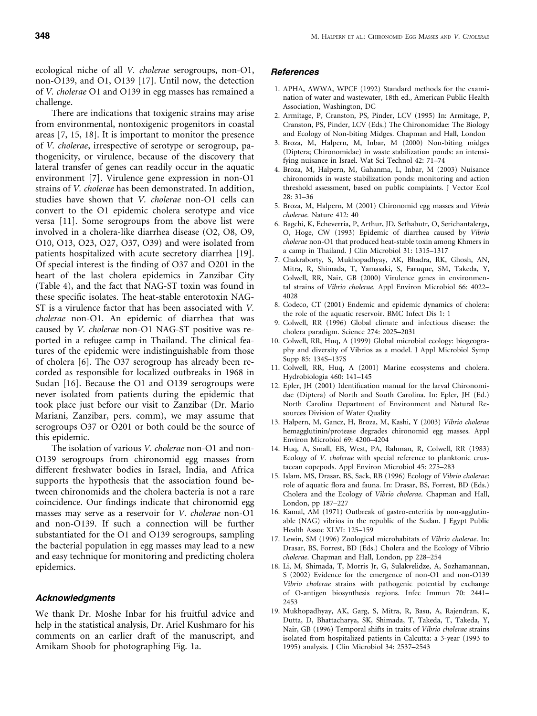ecological niche of all V. cholerae serogroups, non-O1, non-O139, and O1, O139 [17]. Until now, the detection of V. cholerae O1 and O139 in egg masses has remained a challenge.

There are indications that toxigenic strains may arise from environmental, nontoxigenic progenitors in coastal areas [7, 15, 18]. It is important to monitor the presence of V. cholerae, irrespective of serotype or serogroup, pathogenicity, or virulence, because of the discovery that lateral transfer of genes can readily occur in the aquatic environment [7]. Virulence gene expression in non-O1 strains of V. cholerae has been demonstrated. In addition, studies have shown that V. cholerae non-O1 cells can convert to the O1 epidemic cholera serotype and vice versa [11]. Some serogroups from the above list were involved in a cholera-like diarrhea disease (O2, O8, O9, O10, O13, O23, O27, O37, O39) and were isolated from patients hospitalized with acute secretory diarrhea [19]. Of special interest is the finding of O37 and O201 in the heart of the last cholera epidemics in Zanzibar City (Table 4), and the fact that NAG-ST toxin was found in these specific isolates. The heat-stable enterotoxin NAG-ST is a virulence factor that has been associated with V. cholerae non-O1. An epidemic of diarrhea that was caused by V. cholerae non-O1 NAG-ST positive was reported in a refugee camp in Thailand. The clinical features of the epidemic were indistinguishable from those of cholera [6]. The O37 serogroup has already been recorded as responsible for localized outbreaks in 1968 in Sudan [16]. Because the O1 and O139 serogroups were never isolated from patients during the epidemic that took place just before our visit to Zanzibar (Dr. Mario Mariani, Zanzibar, pers. comm), we may assume that serogroups O37 or O201 or both could be the source of this epidemic.

The isolation of various V. cholerae non-O1 and non-O139 serogroups from chironomid egg masses from different freshwater bodies in Israel, India, and Africa supports the hypothesis that the association found between chironomids and the cholera bacteria is not a rare coincidence. Our findings indicate that chironomid egg masses may serve as a reservoir for V. cholerae non-O1 and non-O139. If such a connection will be further substantiated for the O1 and O139 serogroups, sampling the bacterial population in egg masses may lead to a new and easy technique for monitoring and predicting cholera epidemics.

## Acknowledgments

We thank Dr. Moshe Inbar for his fruitful advice and help in the statistical analysis, Dr. Ariel Kushmaro for his comments on an earlier draft of the manuscript, and Amikam Shoob for photographing Fig. 1a.

# References

- 1. APHA, AWWA, WPCF (1992) Standard methods for the examination of water and wastewater, 18th ed., American Public Health Association, Washington, DC
- 2. Armitage, P, Cranston, PS, Pinder, LCV (1995) In: Armitage, P, Cranston, PS, Pinder, LCV (Eds.) The Chironomidae: The Biology and Ecology of Non-biting Midges. Chapman and Hall, London
- 3. Broza, M, Halpern, M, Inbar, M (2000) Non-biting midges (Diptera; Chironomidae) in waste stabilization ponds: an intensifying nuisance in Israel. Wat Sci Technol 42: 71–74
- 4. Broza, M, Halpern, M, Gahanma, L, Inbar, M (2003) Nuisance chironomids in waste stabilization ponds: monitoring and action threshold assessment, based on public complaints. J Vector Ecol 28: 31–36
- 5. Broza, M, Halpern, M (2001) Chironomid egg masses and Vibrio cholerae. Nature 412: 40
- 6. Bagchi, K, Echeverria, P, Arthur, JD, Sethabutr, O, Serichantalergs, O, Hoge, CW (1993) Epidemic of diarrhea caused by Vibrio cholerae non-O1 that produced heat-stable toxin among Khmers in a camp in Thailand. J Clin Microbiol 31: 1315–1317
- 7. Chakraborty, S, Mukhopadhyay, AK, Bhadra, RK, Ghosh, AN, Mitra, R, Shimada, T, Yamasaki, S, Faruque, SM, Takeda, Y, Colwell, RR, Nair, GB (2000) Virulence genes in environmental strains of Vibrio cholerae. Appl Environ Microbiol 66: 4022– 4028
- 8. Codeco, CT (2001) Endemic and epidemic dynamics of cholera: the role of the aquatic reservoir. BMC Infect Dis 1: 1
- 9. Colwell, RR (1996) Global climate and infectious disease: the cholera paradigm. Science 274: 2025–2031
- 10. Colwell, RR, Huq, A (1999) Global microbial ecology: biogeography and diversity of Vibrios as a model. J Appl Microbiol Symp Supp 85: 134S–137S
- 11. Colwell, RR, Huq, A (2001) Marine ecosystems and cholera. Hydrobiologia 460: 141–145
- 12. Epler, JH (2001) Identification manual for the larval Chironomidae (Diptera) of North and South Carolina. In: Epler, JH (Ed.) North Carolina Department of Environment and Natural Resources Division of Water Quality
- 13. Halpern, M, Gancz, H, Broza, M, Kashi, Y (2003) Vibrio cholerae hemagglutinin/protease degrades chironomid egg masses. Appl Environ Microbiol 69: 4200–4204
- 14. Huq, A, Small, EB, West, PA, Rahman, R, Colwell, RR (1983) Ecology of V. cholerae with special reference to planktonic crustacean copepods. Appl Environ Microbiol 45: 275–283
- 15. Islam, MS, Drasar, BS, Sack, RB (1996) Ecology of Vibrio cholerae: role of aquatic flora and fauna. In: Drasar, BS, Forrest, BD (Eds.) Cholera and the Ecology of Vibrio cholerae. Chapman and Hall, London, pp 187–227
- 16. Kamal, AM (1971) Outbreak of gastro-enteritis by non-agglutinable (NAG) vibrios in the republic of the Sudan. J Egypt Public Health Assoc XLVI: 125–159
- 17. Lewin, SM (1996) Zoological microhabitats of Vibrio cholerae. In: Drasar, BS, Forrest, BD (Eds.) Cholera and the Ecology of Vibrio cholerae. Chapman and Hall, London, pp 228–254
- 18. Li, M, Shimada, T, Morris Jr, G, Sulakvelidze, A, Sozhamannan, S (2002) Evidence for the emergence of non-O1 and non-O139 Vibrio cholerae strains with pathogenic potential by exchange of O-antigen biosynthesis regions. Infec Immun 70: 2441– 2453
- 19. Mukhopadhyay, AK, Garg, S, Mitra, R, Basu, A, Rajendran, K, Dutta, D, Bhattacharya, SK, Shimada, T, Takeda, T, Takeda, Y, Nair, GB (1996) Temporal shifts in traits of Vibrio cholerae strains isolated from hospitalized patients in Calcutta: a 3-year (1993 to 1995) analysis. J Clin Microbiol 34: 2537–2543